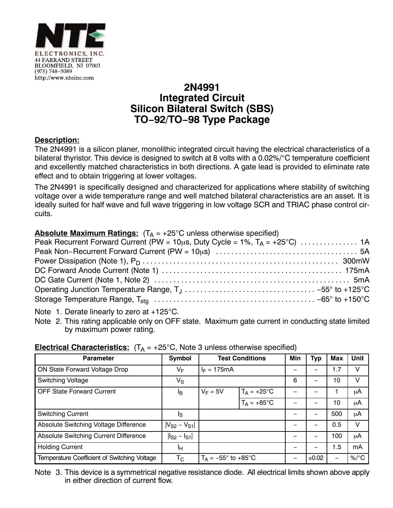

## **2N4991 Integrated Circuit Silicon Bilateral Switch (SBS) TO−92/TO−98 Type Package**

## **Description:**

The 2N4991 is a silicon planer, monolithic integrated circuit having the electrical characteristics of a bilateral thyristor. This device is designed to switch at 8 volts with a  $0.02\%/^{\circ}$ C temperature coefficient and excellently matched characteristics in both directions. A gate lead is provided to eliminate rate effect and to obtain triggering at lower voltages.

The 2N4991 is specifically designed and characterized for applications where stability of switching voltage over a wide temperature range and well matched bilateral characteristics are an asset. It is ideally suited for half wave and full wave triggering in low voltage SCR and TRIAC phase control circuits.

| <b>Absolute Maximum Ratings:</b> $(T_A = +25^{\circ}C$ unless otherwise specified) |  |
|------------------------------------------------------------------------------------|--|
| Peak Recurrent Forward Current (PW = 10us, Duty Cycle = 1%, $T_A$ = +25°C)  1A     |  |
|                                                                                    |  |
|                                                                                    |  |
|                                                                                    |  |
|                                                                                    |  |
|                                                                                    |  |
|                                                                                    |  |

Note 1. Derate linearly to zero at  $+125^{\circ}$ C.

Note 2. This rating applicable only on OFF state. Maximum gate current in conducting state limited by maximum power rating.

| <b>Parameter</b>                             | <b>Symbol</b>       | <b>Test Conditions</b>                |                      | Min | Typ   | Max                      | Unit     |  |  |
|----------------------------------------------|---------------------|---------------------------------------|----------------------|-----|-------|--------------------------|----------|--|--|
| ON State Forward Voltage Drop                | VF                  | $I_F = 175mA$                         |                      |     |       | 1.7                      | v        |  |  |
| <b>Switching Voltage</b>                     | $V_{\rm S}$         |                                       |                      | 6   |       | 10                       | V        |  |  |
| <b>OFF State Forward Current</b>             | Iв                  | $V_F = 5V$                            | $T_A = +25^{\circ}C$ |     |       |                          | μA       |  |  |
|                                              |                     |                                       | $T_A = +85^{\circ}C$ |     |       | 10                       | μA       |  |  |
| <b>Switching Current</b>                     | Is                  |                                       |                      |     |       | 500                      | μA       |  |  |
| Absolute Switching Voltage Difference        | $ V_{S2} - V_{S1} $ |                                       |                      |     |       | 0.5                      | v        |  |  |
| Absolute Switching Current Difference        | $I_{S2} - I_{S1}$   |                                       |                      |     |       | 100                      | μA       |  |  |
| <b>Holding Current</b>                       | ŀн                  |                                       |                      |     |       | 1.5                      | mA       |  |  |
| Temperature Coefficient of Switching Voltage | $T_{\rm C}$         | $T_A = -55^\circ$ to +85 $^{\circ}$ C |                      |     | ±0.02 | $\overline{\phantom{m}}$ | $\%$ /°C |  |  |

## **Electrical Characteristics:**  $(T_A = +25^{\circ}C,$  Note 3 unless otherwise specified)

Note 3. This device is a symmetrical negative resistance diode. All electrical limits shown above apply in either direction of current flow.